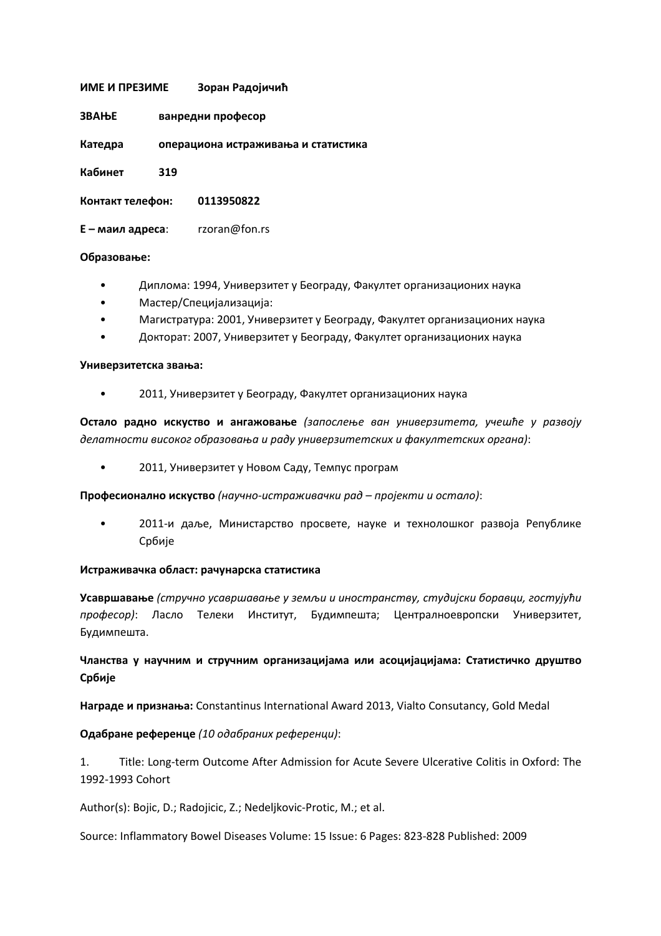## **ИМЕ И ПРЕЗИМЕ Зоран Радојичић**

| ЗВАЊЕ | ванредни професор |
|-------|-------------------|
|       |                   |

**Катедра операциона истраживања и статистика** 

**Кабинет 319** 

**Контакт телефон: 0113950822** 

**Е – маил адреса**: rzoran@fon.rs

## **Образовање:**

- Диплома: 1994, Универзитет у Београду, Факултет организационих наука
- Мастер/Специјализација:
- Магистратура: 2001, Универзитет у Београду, Факултет организационих наука
- Докторат: 2007, Универзитет у Београду, Факултет организационих наука

## **Универзитетска звања:**

• 2011, Универзитет у Београду, Факултет организационих наука

**Остало радно искуство и ангажовање** *(запослење ван универзитета, учешће у развоју делатности високог образовања и раду универзитетских и факултетских органа)*:

• 2011, Универзитет у Новом Саду, Темпус програм

**Професионално искуство** *(научно-истраживачки рад – пројекти и остало)*:

• 2011-и даље, Министарство просвете, науке и технолошког развоја Републике Србије

## **Истраживачка област: рачунарска статистика**

**Усавршавање** *(стручно усавршавање у земљи и иностранству, студијски боравци, гостујући професор)*: Ласло Телеки Институт, Будимпешта; Централноевропски Универзитет, Будимпешта.

**Чланства у научним и стручним организацијама или асоцијацијама: Статистичко друштво Србије** 

**Награде и признања:** Constantinus International Award 2013, Vialto Consutancy, Gold Medal

**Одабране референце** *(10 одабраних референци)*:

1. Title: Long-term Outcome After Admission for Acute Severe Ulcerative Colitis in Oxford: The 1992-1993 Cohort

Author(s): Bojic, D.; Radojicic, Z.; Nedeljkovic-Protic, M.; et al.

Source: Inflammatory Bowel Diseases Volume: 15 Issue: 6 Pages: 823-828 Published: 2009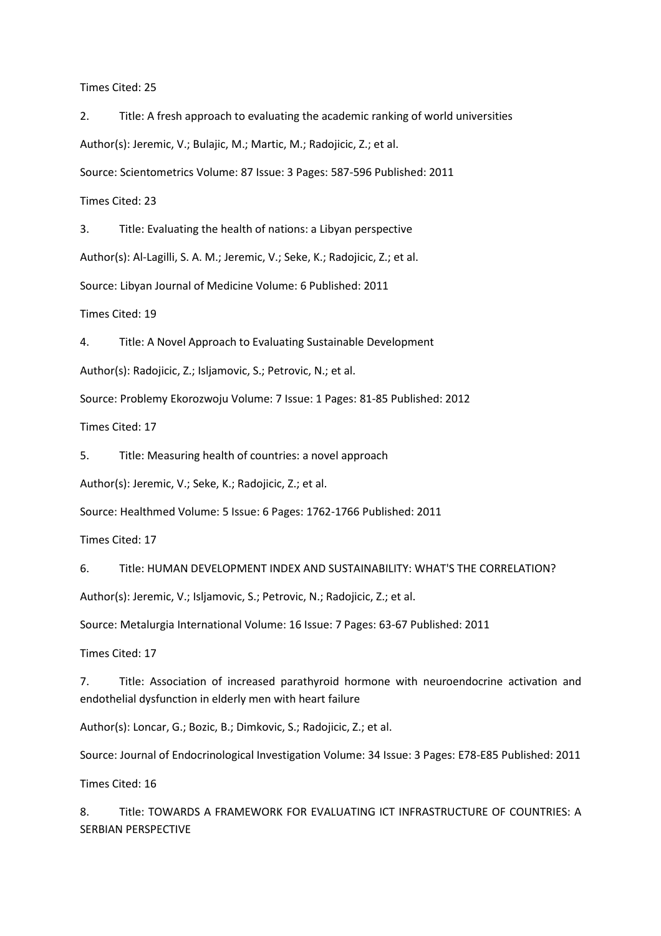Times Cited: 25

2. Title: A fresh approach to evaluating the academic ranking of world universities Author(s): Jeremic, V.; Bulajic, M.; Martic, M.; Radojicic, Z.; et al. Source: Scientometrics Volume: 87 Issue: 3 Pages: 587-596 Published: 2011

Times Cited: 23

3. Title: Evaluating the health of nations: a Libyan perspective

Author(s): Al-Lagilli, S. A. M.; Jeremic, V.; Seke, K.; Radojicic, Z.; et al.

Source: Libyan Journal of Medicine Volume: 6 Published: 2011

Times Cited: 19

4. Title: A Novel Approach to Evaluating Sustainable Development

Author(s): Radojicic, Z.; Isljamovic, S.; Petrovic, N.; et al.

Source: Problemy Ekorozwoju Volume: 7 Issue: 1 Pages: 81-85 Published: 2012

Times Cited: 17

5. Title: Measuring health of countries: a novel approach

Author(s): Jeremic, V.; Seke, K.; Radojicic, Z.; et al.

Source: Healthmed Volume: 5 Issue: 6 Pages: 1762-1766 Published: 2011

Times Cited: 17

6. Title: HUMAN DEVELOPMENT INDEX AND SUSTAINABILITY: WHAT'S THE CORRELATION?

Author(s): Jeremic, V.; Isljamovic, S.; Petrovic, N.; Radojicic, Z.; et al.

Source: Metalurgia International Volume: 16 Issue: 7 Pages: 63-67 Published: 2011

Times Cited: 17

7. Title: Association of increased parathyroid hormone with neuroendocrine activation and endothelial dysfunction in elderly men with heart failure

Author(s): Loncar, G.; Bozic, B.; Dimkovic, S.; Radojicic, Z.; et al.

Source: Journal of Endocrinological Investigation Volume: 34 Issue: 3 Pages: E78-E85 Published: 2011

Times Cited: 16

8. Title: TOWARDS A FRAMEWORK FOR EVALUATING ICT INFRASTRUCTURE OF COUNTRIES: A SERBIAN PERSPECTIVE